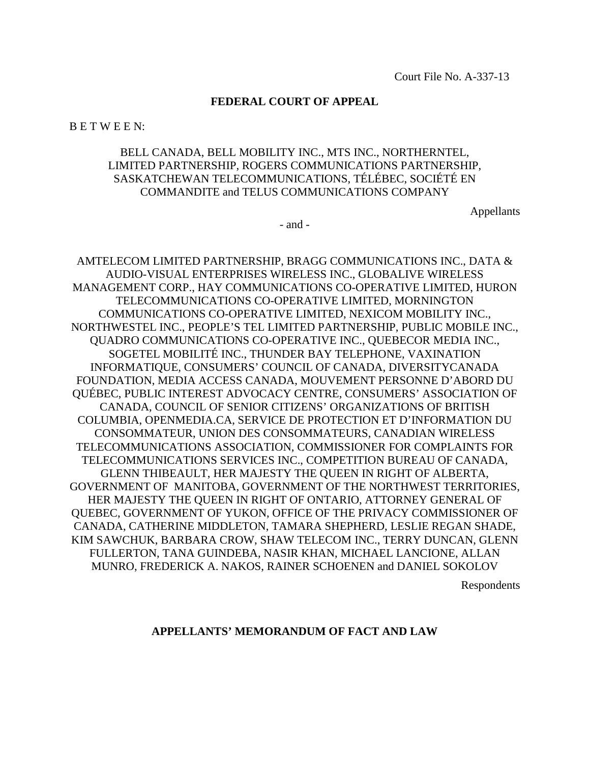#### **FEDERAL COURT OF APPEAL**

B E T W E E N:

## BELL CANADA, BELL MOBILITY INC., MTS INC., NORTHERNTEL, LIMITED PARTNERSHIP, ROGERS COMMUNICATIONS PARTNERSHIP, SASKATCHEWAN TELECOMMUNICATIONS, TÉLÉBEC, SOCIÉTÉ EN COMMANDITE and TELUS COMMUNICATIONS COMPANY

Appellants

 $-$  and  $-$ 

AMTELECOM LIMITED PARTNERSHIP, BRAGG COMMUNICATIONS INC., DATA & AUDIO-VISUAL ENTERPRISES WIRELESS INC., GLOBALIVE WIRELESS MANAGEMENT CORP., HAY COMMUNICATIONS CO-OPERATIVE LIMITED, HURON TELECOMMUNICATIONS CO-OPERATIVE LIMITED, MORNINGTON COMMUNICATIONS CO-OPERATIVE LIMITED, NEXICOM MOBILITY INC., NORTHWESTEL INC., PEOPLE'S TEL LIMITED PARTNERSHIP, PUBLIC MOBILE INC., QUADRO COMMUNICATIONS CO-OPERATIVE INC., QUEBECOR MEDIA INC., SOGETEL MOBILITÉ INC., THUNDER BAY TELEPHONE, VAXINATION INFORMATIQUE, CONSUMERS' COUNCIL OF CANADA, DIVERSITYCANADA FOUNDATION, MEDIA ACCESS CANADA, MOUVEMENT PERSONNE D'ABORD DU QUÉBEC, PUBLIC INTEREST ADVOCACY CENTRE, CONSUMERS' ASSOCIATION OF CANADA, COUNCIL OF SENIOR CITIZENS' ORGANIZATIONS OF BRITISH COLUMBIA, OPENMEDIA.CA, SERVICE DE PROTECTION ET D'INFORMATION DU CONSOMMATEUR, UNION DES CONSOMMATEURS, CANADIAN WIRELESS TELECOMMUNICATIONS ASSOCIATION, COMMISSIONER FOR COMPLAINTS FOR TELECOMMUNICATIONS SERVICES INC., COMPETITION BUREAU OF CANADA, GLENN THIBEAULT, HER MAJESTY THE QUEEN IN RIGHT OF ALBERTA, GOVERNMENT OF MANITOBA, GOVERNMENT OF THE NORTHWEST TERRITORIES, HER MAJESTY THE QUEEN IN RIGHT OF ONTARIO, ATTORNEY GENERAL OF QUEBEC, GOVERNMENT OF YUKON, OFFICE OF THE PRIVACY COMMISSIONER OF CANADA, CATHERINE MIDDLETON, TAMARA SHEPHERD, LESLIE REGAN SHADE, KIM SAWCHUK, BARBARA CROW, SHAW TELECOM INC., TERRY DUNCAN, GLENN FULLERTON, TANA GUINDEBA, NASIR KHAN, MICHAEL LANCIONE, ALLAN MUNRO, FREDERICK A. NAKOS, RAINER SCHOENEN and DANIEL SOKOLOV

Respondents

#### **APPELLANTS' MEMORANDUM OF FACT AND LAW**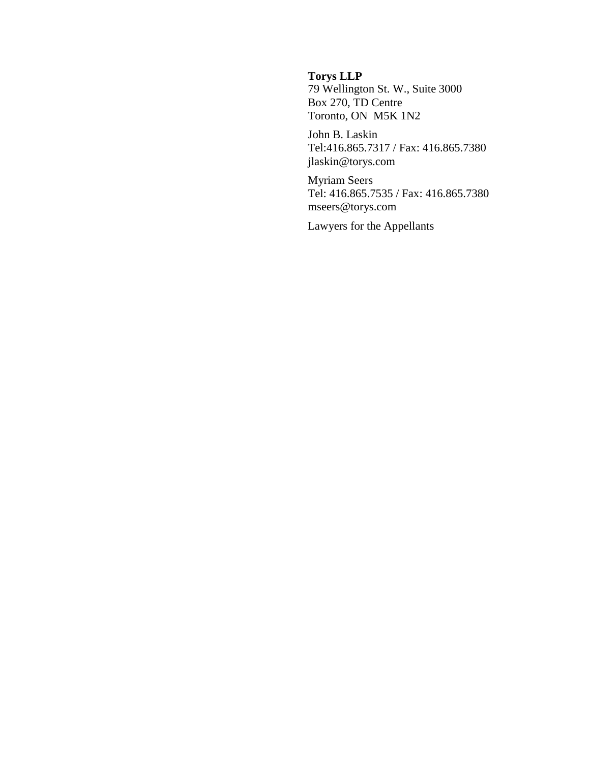## **Torys LLP**

79 Wellington St. W., Suite 3000 Box 270, TD Centre Toronto, ON M5K 1N2

John B. Laskin Tel:416.865.7317 / Fax: 416.865.7380 jlaskin@torys.com

Myriam Seers Tel: 416.865.7535 / Fax: 416.865.7380 mseers@torys.com

Lawyers for the Appellants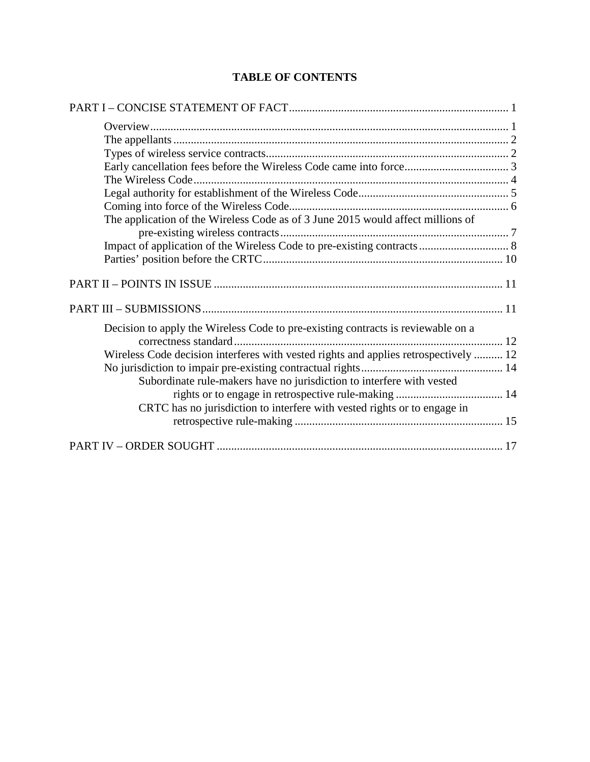# **TABLE OF CONTENTS**

| The application of the Wireless Code as of 3 June 2015 would affect millions of      |
|--------------------------------------------------------------------------------------|
|                                                                                      |
|                                                                                      |
|                                                                                      |
|                                                                                      |
|                                                                                      |
| Decision to apply the Wireless Code to pre-existing contracts is reviewable on a     |
|                                                                                      |
| Wireless Code decision interferes with vested rights and applies retrospectively  12 |
|                                                                                      |
| Subordinate rule-makers have no jurisdiction to interfere with vested                |
|                                                                                      |
| CRTC has no jurisdiction to interfere with vested rights or to engage in             |
|                                                                                      |
|                                                                                      |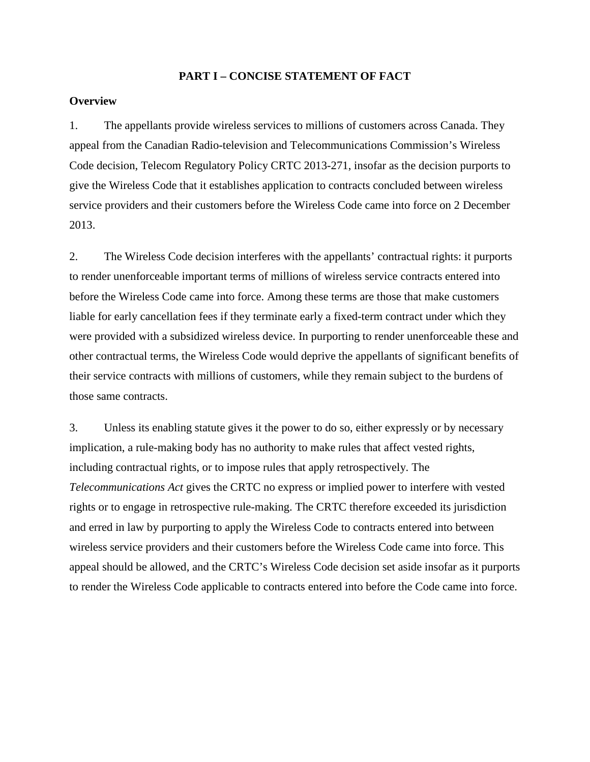#### **PART I – CONCISE STATEMENT OF FACT**

### **Overview**

1. The appellants provide wireless services to millions of customers across Canada. They appeal from the Canadian Radio-television and Telecommunications Commission's Wireless Code decision, Telecom Regulatory Policy CRTC 2013-271, insofar as the decision purports to give the Wireless Code that it establishes application to contracts concluded between wireless service providers and their customers before the Wireless Code came into force on 2 December 2013.

2. The Wireless Code decision interferes with the appellants' contractual rights: it purports to render unenforceable important terms of millions of wireless service contracts entered into before the Wireless Code came into force. Among these terms are those that make customers liable for early cancellation fees if they terminate early a fixed-term contract under which they were provided with a subsidized wireless device. In purporting to render unenforceable these and other contractual terms, the Wireless Code would deprive the appellants of significant benefits of their service contracts with millions of customers, while they remain subject to the burdens of those same contracts.

3. Unless its enabling statute gives it the power to do so, either expressly or by necessary implication, a rule-making body has no authority to make rules that affect vested rights, including contractual rights, or to impose rules that apply retrospectively. The *Telecommunications Act* gives the CRTC no express or implied power to interfere with vested rights or to engage in retrospective rule-making. The CRTC therefore exceeded its jurisdiction and erred in law by purporting to apply the Wireless Code to contracts entered into between wireless service providers and their customers before the Wireless Code came into force. This appeal should be allowed, and the CRTC's Wireless Code decision set aside insofar as it purports to render the Wireless Code applicable to contracts entered into before the Code came into force.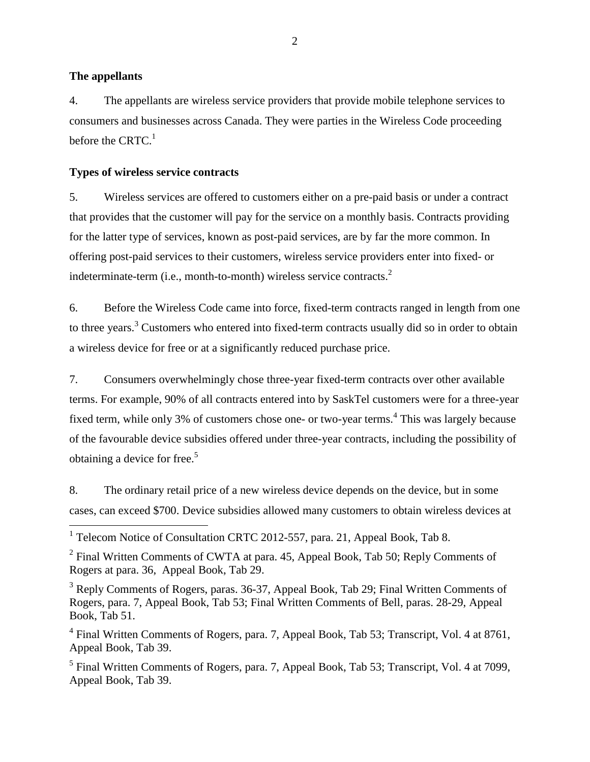#### **The appellants**

4. The appellants are wireless service providers that provide mobile telephone services to consumers and businesses across Canada. They were parties in the Wireless Code proceeding before the CRTC. $<sup>1</sup>$ </sup>

### **Types of wireless service contracts**

5. Wireless services are offered to customers either on a pre-paid basis or under a contract that provides that the customer will pay for the service on a monthly basis. Contracts providing for the latter type of services, known as post-paid services, are by far the more common. In offering post-paid services to their customers, wireless service providers enter into fixed- or indeterminate-term (i.e., month-to-month) wireless service contracts.<sup>2</sup>

6. Before the Wireless Code came into force, fixed-term contracts ranged in length from one to three years.<sup>3</sup> Customers who entered into fixed-term contracts usually did so in order to obtain a wireless device for free or at a significantly reduced purchase price.

7. Consumers overwhelmingly chose three-year fixed-term contracts over other available terms. For example, 90% of all contracts entered into by SaskTel customers were for a three-year fixed term, while only 3% of customers chose one- or two-year terms.<sup>4</sup> This was largely because of the favourable device subsidies offered under three-year contracts, including the possibility of obtaining a device for free.<sup>5</sup>

8. The ordinary retail price of a new wireless device depends on the device, but in some cases, can exceed \$700. Device subsidies allowed many customers to obtain wireless devices at

<sup>&</sup>lt;sup>1</sup> Telecom Notice of Consultation CRTC 2012-557, para. 21, Appeal Book, Tab 8.

<sup>&</sup>lt;sup>2</sup> Final Written Comments of CWTA at para. 45, Appeal Book, Tab 50; Reply Comments of Rogers at para. 36, Appeal Book, Tab 29.

<sup>&</sup>lt;sup>3</sup> Reply Comments of Rogers, paras. 36-37, Appeal Book, Tab 29; Final Written Comments of Rogers, para. 7, Appeal Book, Tab 53; Final Written Comments of Bell, paras. 28-29, Appeal Book, Tab 51.

<sup>&</sup>lt;sup>4</sup> Final Written Comments of Rogers, para. 7, Appeal Book, Tab 53; Transcript, Vol. 4 at 8761, Appeal Book, Tab 39.

<sup>&</sup>lt;sup>5</sup> Final Written Comments of Rogers, para. 7, Appeal Book, Tab 53; Transcript, Vol. 4 at 7099, Appeal Book, Tab 39.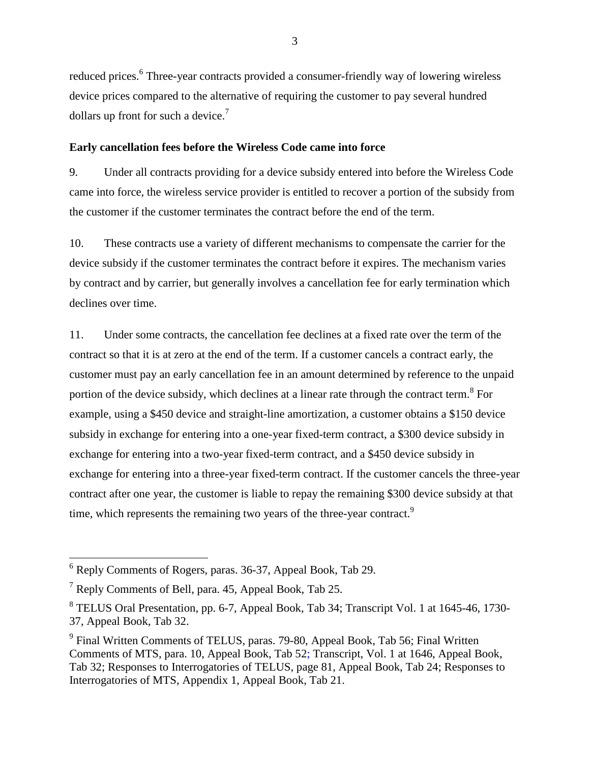reduced prices.<sup>6</sup> Three-year contracts provided a consumer-friendly way of lowering wireless device prices compared to the alternative of requiring the customer to pay several hundred dollars up front for such a device.<sup>7</sup>

#### **Early cancellation fees before the Wireless Code came into force**

9. Under all contracts providing for a device subsidy entered into before the Wireless Code came into force, the wireless service provider is entitled to recover a portion of the subsidy from the customer if the customer terminates the contract before the end of the term.

10. These contracts use a variety of different mechanisms to compensate the carrier for the device subsidy if the customer terminates the contract before it expires. The mechanism varies by contract and by carrier, but generally involves a cancellation fee for early termination which declines over time.

11. Under some contracts, the cancellation fee declines at a fixed rate over the term of the contract so that it is at zero at the end of the term. If a customer cancels a contract early, the customer must pay an early cancellation fee in an amount determined by reference to the unpaid portion of the device subsidy, which declines at a linear rate through the contract term.<sup>8</sup> For example, using a \$450 device and straight-line amortization, a customer obtains a \$150 device subsidy in exchange for entering into a one-year fixed-term contract, a \$300 device subsidy in exchange for entering into a two-year fixed-term contract, and a \$450 device subsidy in exchange for entering into a three-year fixed-term contract. If the customer cancels the three-year contract after one year, the customer is liable to repay the remaining \$300 device subsidy at that time, which represents the remaining two years of the three-year contract.<sup>9</sup>

<sup>6</sup> Reply Comments of Rogers, paras. 36-37, Appeal Book, Tab 29.

 $<sup>7</sup>$  Reply Comments of Bell, para. 45, Appeal Book, Tab 25.</sup>

<sup>&</sup>lt;sup>8</sup> TELUS Oral Presentation, pp. 6-7, Appeal Book, Tab 34; Transcript Vol. 1 at 1645-46, 1730-37, Appeal Book, Tab 32.

<sup>&</sup>lt;sup>9</sup> Final Written Comments of TELUS, paras. 79-80, Appeal Book, Tab 56; Final Written Comments of MTS, para. 10, Appeal Book, Tab 52; Transcript, Vol. 1 at 1646, Appeal Book, Tab 32; Responses to Interrogatories of TELUS, page 81, Appeal Book, Tab 24; Responses to Interrogatories of MTS, Appendix 1, Appeal Book, Tab 21.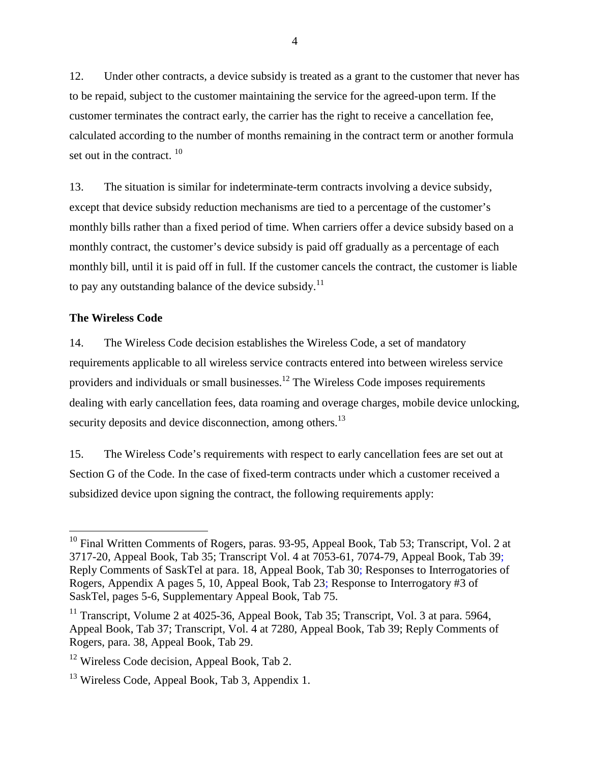12. Under other contracts, a device subsidy is treated as a grant to the customer that never has to be repaid, subject to the customer maintaining the service for the agreed-upon term. If the customer terminates the contract early, the carrier has the right to receive a cancellation fee, calculated according to the number of months remaining in the contract term or another formula set out in the contract.  $10$ 

13. The situation is similar for indeterminate-term contracts involving a device subsidy, except that device subsidy reduction mechanisms are tied to a percentage of the customer's monthly bills rather than a fixed period of time. When carriers offer a device subsidy based on a monthly contract, the customer's device subsidy is paid off gradually as a percentage of each monthly bill, until it is paid off in full. If the customer cancels the contract, the customer is liable to pay any outstanding balance of the device subsidy.<sup>11</sup>

### **The Wireless Code**

14. The Wireless Code decision establishes the Wireless Code, a set of mandatory requirements applicable to all wireless service contracts entered into between wireless service providers and individuals or small businesses.<sup>12</sup> The Wireless Code imposes requirements dealing with early cancellation fees, data roaming and overage charges, mobile device unlocking, security deposits and device disconnection, among others.<sup>13</sup>

15. The Wireless Code's requirements with respect to early cancellation fees are set out at Section G of the Code. In the case of fixed-term contracts under which a customer received a subsidized device upon signing the contract, the following requirements apply:

 $10$  Final Written Comments of Rogers, paras. 93-95, Appeal Book, Tab 53; Transcript, Vol. 2 at 3717-20, Appeal Book, Tab 35; Transcript Vol. 4 at 7053-61, 7074-79, Appeal Book, Tab 39; Reply Comments of SaskTel at para. 18, Appeal Book, Tab 30; Responses to Interrogatories of Rogers, Appendix A pages 5, 10, Appeal Book, Tab 23; Response to Interrogatory #3 of SaskTel, pages 5-6, Supplementary Appeal Book, Tab 75.

<sup>&</sup>lt;sup>11</sup> Transcript, Volume 2 at 4025-36, Appeal Book, Tab 35; Transcript, Vol. 3 at para. 5964, Appeal Book, Tab 37; Transcript, Vol. 4 at 7280, Appeal Book, Tab 39; Reply Comments of Rogers, para. 38, Appeal Book, Tab 29.

<sup>&</sup>lt;sup>12</sup> Wireless Code decision, Appeal Book, Tab 2.

 $13$  Wireless Code, Appeal Book, Tab 3, Appendix 1.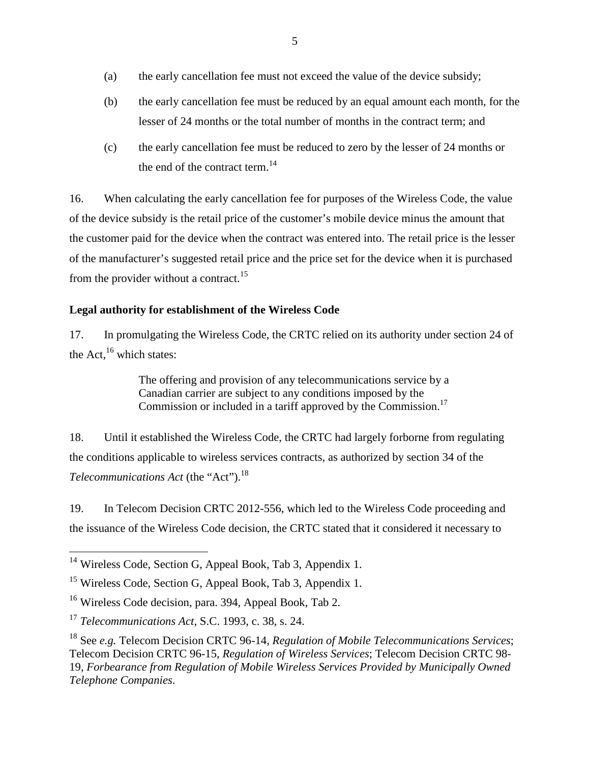- (a) the early cancellation fee must not exceed the value of the device subsidy;
- (b) the early cancellation fee must be reduced by an equal amount each month, for the lesser of 24 months or the total number of months in the contract term; and
- (c) the early cancellation fee must be reduced to zero by the lesser of 24 months or the end of the contract term. $^{14}$

16. When calculating the early cancellation fee for purposes of the Wireless Code, the value of the device subsidy is the retail price of the customer's mobile device minus the amount that the customer paid for the device when the contract was entered into. The retail price is the lesser of the manufacturer's suggested retail price and the price set for the device when it is purchased from the provider without a contract.<sup>15</sup>

# **Legal authority for establishment of the Wireless Code**

17. In promulgating the Wireless Code, the CRTC relied on its authority under section 24 of the Act, $^{16}$  which states:

> The offering and provision of any telecommunications service by a Canadian carrier are subject to any conditions imposed by the Commission or included in a tariff approved by the Commission.<sup>17</sup>

18. Until it established the Wireless Code, the CRTC had largely forborne from regulating the conditions applicable to wireless services contracts, as authorized by section 34 of the *Telecommunications Act* (the "Act").<sup>18</sup>

19. In Telecom Decision CRTC 2012-556, which led to the Wireless Code proceeding and the issuance of the Wireless Code decision, the CRTC stated that it considered it necessary to

<sup>&</sup>lt;sup>14</sup> Wireless Code, Section G, Appeal Book, Tab 3, Appendix 1.

<sup>&</sup>lt;sup>15</sup> Wireless Code, Section G, Appeal Book, Tab 3, Appendix 1.

<sup>16</sup> Wireless Code decision, para. 394, Appeal Book, Tab 2.

<sup>17</sup> *Telecommunications Act*, S.C. 1993, c. 38, s. 24.

<sup>18</sup> See *e.g.* Telecom Decision CRTC 96-14, *Regulation of Mobile Telecommunications Services*; Telecom Decision CRTC 96-15, *Regulation of Wireless Services*; Telecom Decision CRTC 98- 19, *Forbearance from Regulation of Mobile Wireless Services Provided by Municipally Owned Telephone Companies*.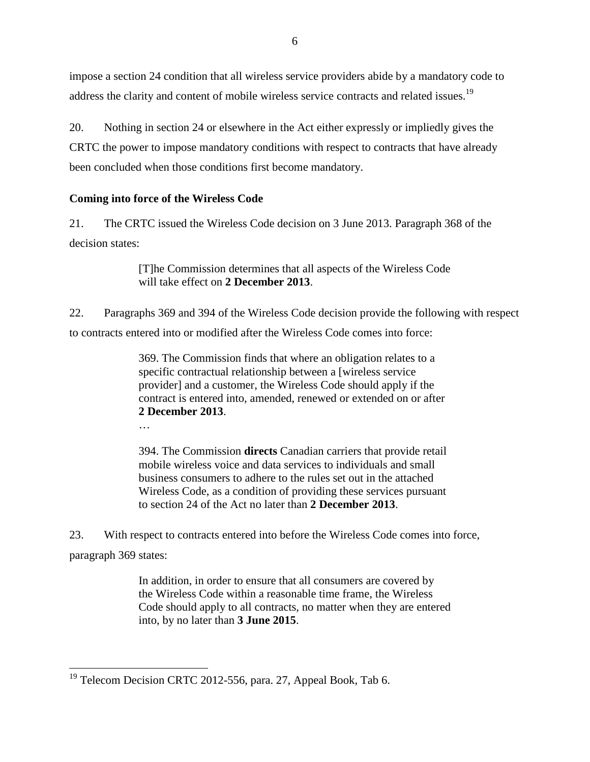impose a section 24 condition that all wireless service providers abide by a mandatory code to address the clarity and content of mobile wireless service contracts and related issues.<sup>19</sup>

20. Nothing in section 24 or elsewhere in the Act either expressly or impliedly gives the CRTC the power to impose mandatory conditions with respect to contracts that have already been concluded when those conditions first become mandatory.

### **Coming into force of the Wireless Code**

…

21. The CRTC issued the Wireless Code decision on 3 June 2013. Paragraph 368 of the decision states:

> [T]he Commission determines that all aspects of the Wireless Code will take effect on **2 December 2013**.

22. Paragraphs 369 and 394 of the Wireless Code decision provide the following with respect to contracts entered into or modified after the Wireless Code comes into force:

> 369. The Commission finds that where an obligation relates to a specific contractual relationship between a [wireless service provider] and a customer, the Wireless Code should apply if the contract is entered into, amended, renewed or extended on or after **2 December 2013**.

> 394. The Commission **directs** Canadian carriers that provide retail mobile wireless voice and data services to individuals and small business consumers to adhere to the rules set out in the attached Wireless Code, as a condition of providing these services pursuant to section 24 of the Act no later than **2 December 2013**.

23. With respect to contracts entered into before the Wireless Code comes into force, paragraph 369 states:

> In addition, in order to ensure that all consumers are covered by the Wireless Code within a reasonable time frame, the Wireless Code should apply to all contracts, no matter when they are entered into, by no later than **3 June 2015**.

 $19$  Telecom Decision CRTC 2012-556, para. 27, Appeal Book, Tab 6.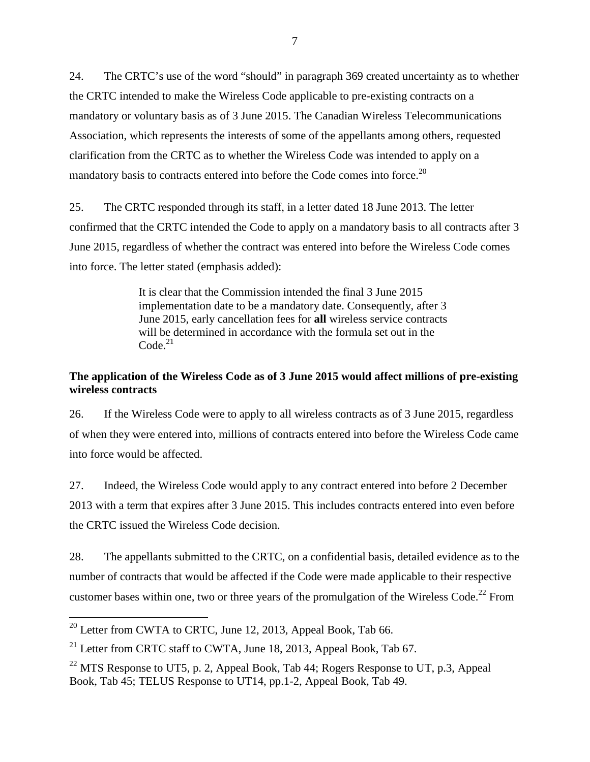24. The CRTC's use of the word "should" in paragraph 369 created uncertainty as to whether the CRTC intended to make the Wireless Code applicable to pre-existing contracts on a mandatory or voluntary basis as of 3 June 2015. The Canadian Wireless Telecommunications Association, which represents the interests of some of the appellants among others, requested clarification from the CRTC as to whether the Wireless Code was intended to apply on a mandatory basis to contracts entered into before the Code comes into force.<sup>20</sup>

25. The CRTC responded through its staff, in a letter dated 18 June 2013. The letter confirmed that the CRTC intended the Code to apply on a mandatory basis to all contracts after 3 June 2015, regardless of whether the contract was entered into before the Wireless Code comes into force. The letter stated (emphasis added):

> It is clear that the Commission intended the final 3 June 2015 implementation date to be a mandatory date. Consequently, after 3 June 2015, early cancellation fees for **all** wireless service contracts will be determined in accordance with the formula set out in the  $Code<sup>21</sup>$

## **The application of the Wireless Code as of 3 June 2015 would affect millions of pre-existing wireless contracts**

26. If the Wireless Code were to apply to all wireless contracts as of 3 June 2015, regardless of when they were entered into, millions of contracts entered into before the Wireless Code came into force would be affected.

27. Indeed, the Wireless Code would apply to any contract entered into before 2 December 2013 with a term that expires after 3 June 2015. This includes contracts entered into even before the CRTC issued the Wireless Code decision.

28. The appellants submitted to the CRTC, on a confidential basis, detailed evidence as to the number of contracts that would be affected if the Code were made applicable to their respective customer bases within one, two or three years of the promulgation of the Wireless Code.<sup>22</sup> From

 $^{20}$  Letter from CWTA to CRTC, June 12, 2013, Appeal Book, Tab 66.

<sup>&</sup>lt;sup>21</sup> Letter from CRTC staff to CWTA, June 18, 2013, Appeal Book, Tab  $67$ .

<sup>&</sup>lt;sup>22</sup> MTS Response to UT5, p. 2, Appeal Book, Tab  $44$ ; Rogers Response to UT, p.3, Appeal Book, Tab 45; TELUS Response to UT14, pp.1-2, Appeal Book, Tab 49.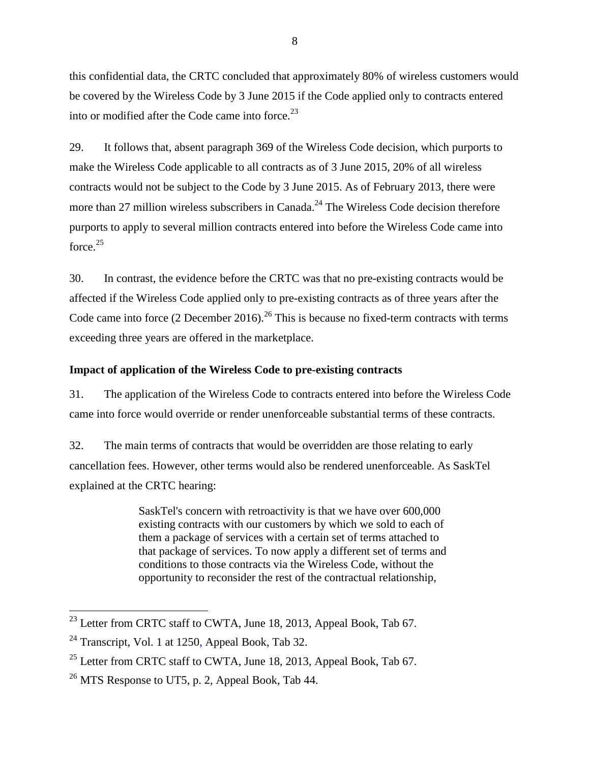this confidential data, the CRTC concluded that approximately 80% of wireless customers would be covered by the Wireless Code by 3 June 2015 if the Code applied only to contracts entered into or modified after the Code came into force.<sup>23</sup>

29. It follows that, absent paragraph 369 of the Wireless Code decision, which purports to make the Wireless Code applicable to all contracts as of 3 June 2015, 20% of all wireless contracts would not be subject to the Code by 3 June 2015. As of February 2013, there were more than 27 million wireless subscribers in Canada.<sup>24</sup> The Wireless Code decision therefore purports to apply to several million contracts entered into before the Wireless Code came into force.<sup>25</sup>

30. In contrast, the evidence before the CRTC was that no pre-existing contracts would be affected if the Wireless Code applied only to pre-existing contracts as of three years after the Code came into force  $(2$  December 2016).<sup>26</sup> This is because no fixed-term contracts with terms exceeding three years are offered in the marketplace.

## **Impact of application of the Wireless Code to pre-existing contracts**

31. The application of the Wireless Code to contracts entered into before the Wireless Code came into force would override or render unenforceable substantial terms of these contracts.

32. The main terms of contracts that would be overridden are those relating to early cancellation fees. However, other terms would also be rendered unenforceable. As SaskTel explained at the CRTC hearing:

> SaskTel's concern with retroactivity is that we have over 600,000 existing contracts with our customers by which we sold to each of them a package of services with a certain set of terms attached to that package of services. To now apply a different set of terms and conditions to those contracts via the Wireless Code, without the opportunity to reconsider the rest of the contractual relationship,

<sup>&</sup>lt;sup>23</sup> Letter from CRTC staff to CWTA, June 18, 2013, Appeal Book, Tab 67.

 $24$  Transcript, Vol. 1 at 1250, Appeal Book, Tab 32.

<sup>&</sup>lt;sup>25</sup> Letter from CRTC staff to CWTA, June 18, 2013, Appeal Book, Tab 67.

 $^{26}$  MTS Response to UT5, p. 2, Appeal Book, Tab 44.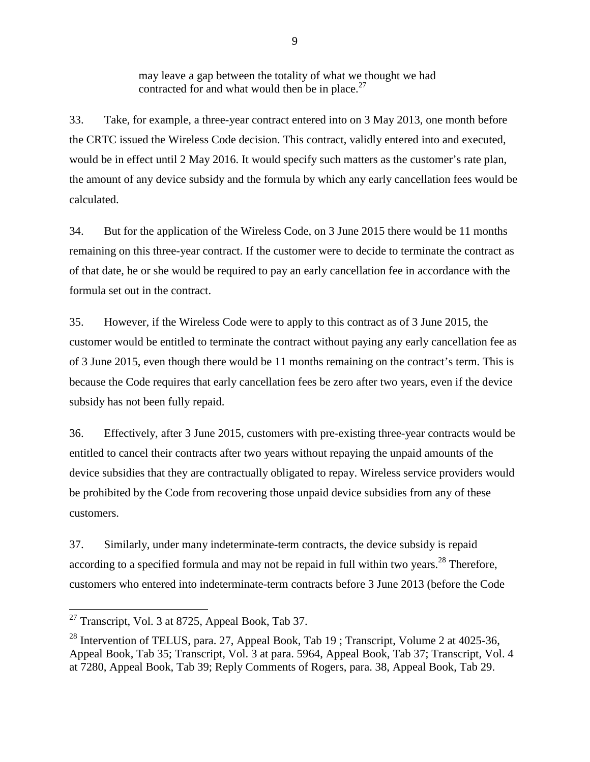may leave a gap between the totality of what we thought we had contracted for and what would then be in place. $27$ 

33. Take, for example, a three-year contract entered into on 3 May 2013, one month before the CRTC issued the Wireless Code decision. This contract, validly entered into and executed, would be in effect until 2 May 2016. It would specify such matters as the customer's rate plan, the amount of any device subsidy and the formula by which any early cancellation fees would be calculated.

34. But for the application of the Wireless Code, on 3 June 2015 there would be 11 months remaining on this three-year contract. If the customer were to decide to terminate the contract as of that date, he or she would be required to pay an early cancellation fee in accordance with the formula set out in the contract.

35. However, if the Wireless Code were to apply to this contract as of 3 June 2015, the customer would be entitled to terminate the contract without paying any early cancellation fee as of 3 June 2015, even though there would be 11 months remaining on the contract's term. This is because the Code requires that early cancellation fees be zero after two years, even if the device subsidy has not been fully repaid.

36. Effectively, after 3 June 2015, customers with pre-existing three-year contracts would be entitled to cancel their contracts after two years without repaying the unpaid amounts of the device subsidies that they are contractually obligated to repay. Wireless service providers would be prohibited by the Code from recovering those unpaid device subsidies from any of these customers.

37. Similarly, under many indeterminate-term contracts, the device subsidy is repaid according to a specified formula and may not be repaid in full within two vears.<sup>28</sup> Therefore, customers who entered into indeterminate-term contracts before 3 June 2013 (before the Code

<sup>&</sup>lt;sup>27</sup> Transcript, Vol. 3 at 8725, Appeal Book, Tab 37.

<sup>&</sup>lt;sup>28</sup> Intervention of TELUS, para. 27, Appeal Book, Tab 19; Transcript, Volume 2 at 4025-36, Appeal Book, Tab 35; Transcript, Vol. 3 at para. 5964, Appeal Book, Tab 37; Transcript, Vol. 4 at 7280, Appeal Book, Tab 39; Reply Comments of Rogers, para. 38, Appeal Book, Tab 29.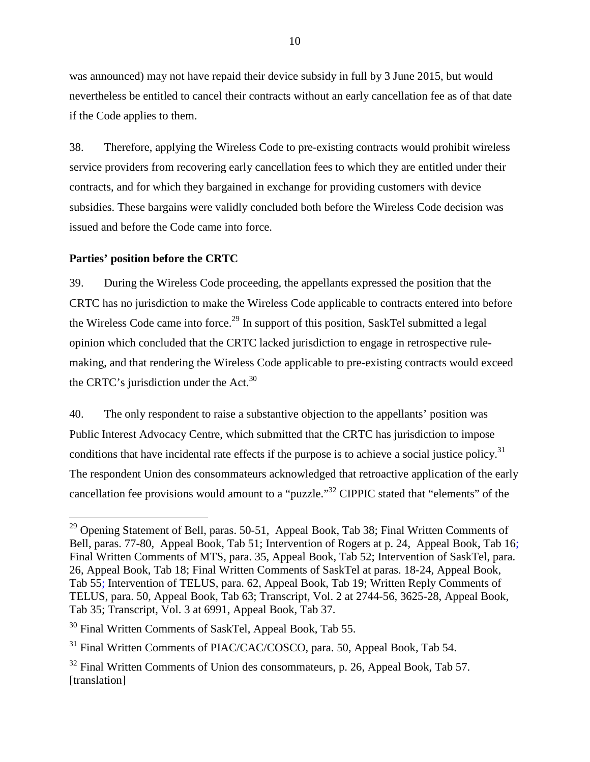was announced) may not have repaid their device subsidy in full by 3 June 2015, but would nevertheless be entitled to cancel their contracts without an early cancellation fee as of that date if the Code applies to them.

38. Therefore, applying the Wireless Code to pre-existing contracts would prohibit wireless service providers from recovering early cancellation fees to which they are entitled under their contracts, and for which they bargained in exchange for providing customers with device subsidies. These bargains were validly concluded both before the Wireless Code decision was issued and before the Code came into force.

### **Parties' position before the CRTC**

39. During the Wireless Code proceeding, the appellants expressed the position that the CRTC has no jurisdiction to make the Wireless Code applicable to contracts entered into before the Wireless Code came into force.<sup>29</sup> In support of this position, SaskTel submitted a legal opinion which concluded that the CRTC lacked jurisdiction to engage in retrospective rulemaking, and that rendering the Wireless Code applicable to pre-existing contracts would exceed the CRTC's jurisdiction under the Act. $30$ 

40. The only respondent to raise a substantive objection to the appellants' position was Public Interest Advocacy Centre, which submitted that the CRTC has jurisdiction to impose conditions that have incidental rate effects if the purpose is to achieve a social justice policy.<sup>31</sup> The respondent Union des consommateurs acknowledged that retroactive application of the early cancellation fee provisions would amount to a "puzzle."<sup>32</sup> CIPPIC stated that "elements" of the

<sup>&</sup>lt;sup>29</sup> Opening Statement of Bell, paras. 50-51, Appeal Book, Tab 38; Final Written Comments of Bell, paras. 77-80, Appeal Book, Tab 51; Intervention of Rogers at p. 24, Appeal Book, Tab 16; Final Written Comments of MTS, para. 35, Appeal Book, Tab 52; Intervention of SaskTel, para. 26, Appeal Book, Tab 18; Final Written Comments of SaskTel at paras. 18-24, Appeal Book, Tab 55; Intervention of TELUS, para. 62, Appeal Book, Tab 19; Written Reply Comments of TELUS, para. 50, Appeal Book, Tab 63; Transcript, Vol. 2 at 2744-56, 3625-28, Appeal Book, Tab 35; Transcript, Vol. 3 at 6991, Appeal Book, Tab 37.

<sup>&</sup>lt;sup>30</sup> Final Written Comments of SaskTel, Appeal Book, Tab 55.

<sup>&</sup>lt;sup>31</sup> Final Written Comments of PIAC/CAC/COSCO, para. 50, Appeal Book, Tab 54.

 $32$  Final Written Comments of Union des consommateurs, p. 26, Appeal Book, Tab 57. [translation]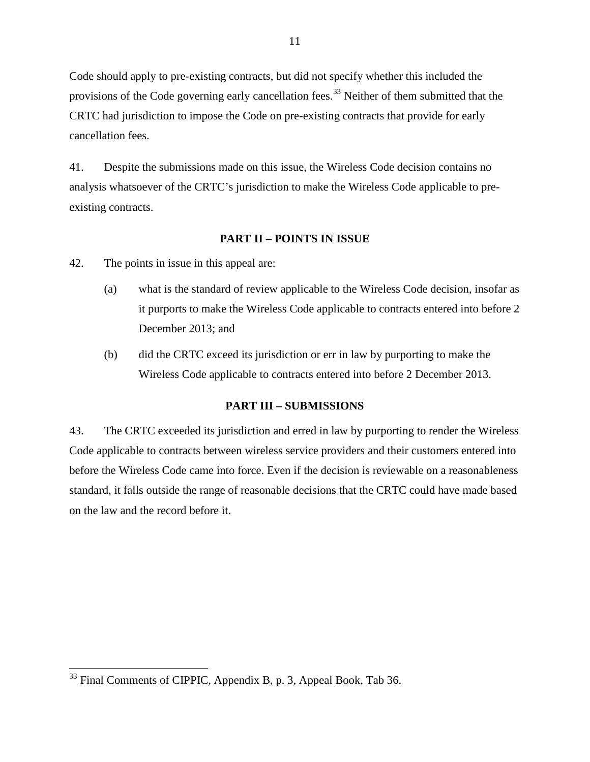Code should apply to pre-existing contracts, but did not specify whether this included the provisions of the Code governing early cancellation fees.<sup>33</sup> Neither of them submitted that the CRTC had jurisdiction to impose the Code on pre-existing contracts that provide for early cancellation fees.

41. Despite the submissions made on this issue, the Wireless Code decision contains no analysis whatsoever of the CRTC's jurisdiction to make the Wireless Code applicable to preexisting contracts.

### **PART II – POINTS IN ISSUE**

- 42. The points in issue in this appeal are:
	- (a) what is the standard of review applicable to the Wireless Code decision, insofar as it purports to make the Wireless Code applicable to contracts entered into before 2 December 2013; and
	- (b) did the CRTC exceed its jurisdiction or err in law by purporting to make the Wireless Code applicable to contracts entered into before 2 December 2013.

#### **PART III – SUBMISSIONS**

43. The CRTC exceeded its jurisdiction and erred in law by purporting to render the Wireless Code applicable to contracts between wireless service providers and their customers entered into before the Wireless Code came into force. Even if the decision is reviewable on a reasonableness standard, it falls outside the range of reasonable decisions that the CRTC could have made based on the law and the record before it.

 $33$  Final Comments of CIPPIC, Appendix B, p. 3, Appeal Book, Tab 36.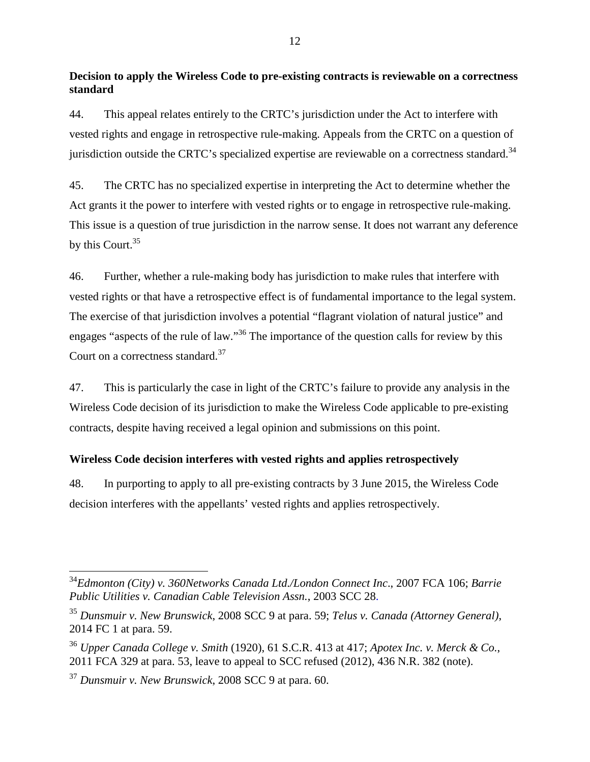## **Decision to apply the Wireless Code to pre-existing contracts is reviewable on a correctness standard**

44. This appeal relates entirely to the CRTC's jurisdiction under the Act to interfere with vested rights and engage in retrospective rule-making. Appeals from the CRTC on a question of jurisdiction outside the CRTC's specialized expertise are reviewable on a correctness standard.<sup>34</sup>

45. The CRTC has no specialized expertise in interpreting the Act to determine whether the Act grants it the power to interfere with vested rights or to engage in retrospective rule-making. This issue is a question of true jurisdiction in the narrow sense. It does not warrant any deference by this Court.<sup>35</sup>

46. Further, whether a rule-making body has jurisdiction to make rules that interfere with vested rights or that have a retrospective effect is of fundamental importance to the legal system. The exercise of that jurisdiction involves a potential "flagrant violation of natural justice" and engages "aspects of the rule of law."<sup>36</sup> The importance of the question calls for review by this Court on a correctness standard.<sup>37</sup>

47. This is particularly the case in light of the CRTC's failure to provide any analysis in the Wireless Code decision of its jurisdiction to make the Wireless Code applicable to pre-existing contracts, despite having received a legal opinion and submissions on this point.

## **Wireless Code decision interferes with vested rights and applies retrospectively**

48. In purporting to apply to all pre-existing contracts by 3 June 2015, the Wireless Code decision interferes with the appellants' vested rights and applies retrospectively.

<sup>34</sup>*Edmonton (City) v. 360Networks Canada Ltd./London Connect Inc*., 2007 FCA 106; *Barrie Public Utilities v. Canadian Cable Television Assn.*, 2003 SCC 28.

<sup>35</sup> *Dunsmuir v. New Brunswick*, 2008 SCC 9 at para. 59; *Telus v. Canada (Attorney General)*, 2014 FC 1 at para. 59.

<sup>36</sup> *Upper Canada College v. Smith* (1920), 61 S.C.R. 413 at 417; *Apotex Inc. v. Merck & Co.*, 2011 FCA 329 at para. 53, leave to appeal to SCC refused (2012), 436 N.R. 382 (note).

<sup>37</sup> *Dunsmuir v. New Brunswick*, 2008 SCC 9 at para. 60.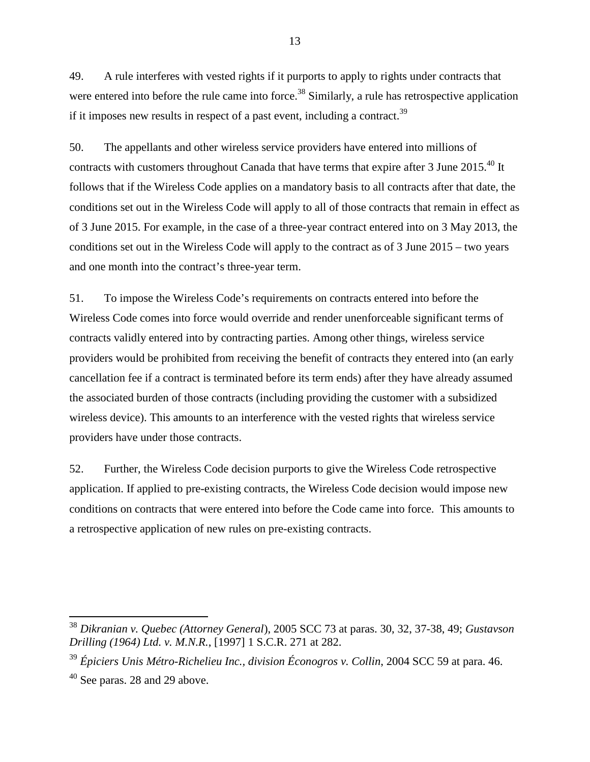49. A rule interferes with vested rights if it purports to apply to rights under contracts that were entered into before the rule came into force.<sup>38</sup> Similarly, a rule has retrospective application if it imposes new results in respect of a past event, including a contract.<sup>39</sup>

50. The appellants and other wireless service providers have entered into millions of contracts with customers throughout Canada that have terms that expire after 3 June 2015.<sup>40</sup> It follows that if the Wireless Code applies on a mandatory basis to all contracts after that date, the conditions set out in the Wireless Code will apply to all of those contracts that remain in effect as of 3 June 2015. For example, in the case of a three-year contract entered into on 3 May 2013, the conditions set out in the Wireless Code will apply to the contract as of 3 June 2015 – two years and one month into the contract's three-year term.

51. To impose the Wireless Code's requirements on contracts entered into before the Wireless Code comes into force would override and render unenforceable significant terms of contracts validly entered into by contracting parties. Among other things, wireless service providers would be prohibited from receiving the benefit of contracts they entered into (an early cancellation fee if a contract is terminated before its term ends) after they have already assumed the associated burden of those contracts (including providing the customer with a subsidized wireless device). This amounts to an interference with the vested rights that wireless service providers have under those contracts.

52. Further, the Wireless Code decision purports to give the Wireless Code retrospective application. If applied to pre-existing contracts, the Wireless Code decision would impose new conditions on contracts that were entered into before the Code came into force. This amounts to a retrospective application of new rules on pre-existing contracts.

<sup>38</sup> *Dikranian v. Quebec (Attorney General*), 2005 SCC 73 at paras. 30, 32, 37-38, 49; *Gustavson Drilling (1964) Ltd. v. M.N.R.*, [1997] 1 S.C.R. 271 at 282.

<sup>39</sup> *Épiciers Unis Métro-Richelieu Inc., division Éconogros v. Collin*, 2004 SCC 59 at para. 46.

 $40$  See paras. 28 and 29 above.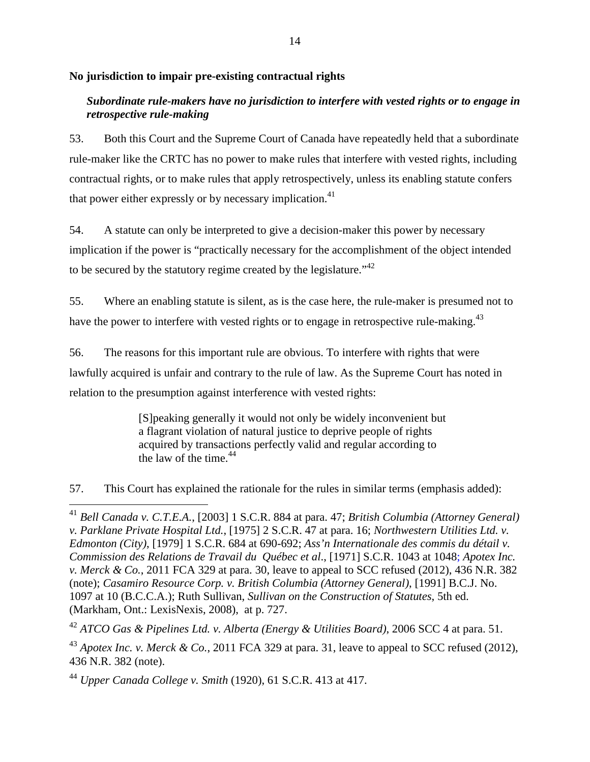## **No jurisdiction to impair pre-existing contractual rights**

## *Subordinate rule-makers have no jurisdiction to interfere with vested rights or to engage in retrospective rule-making*

53. Both this Court and the Supreme Court of Canada have repeatedly held that a subordinate rule-maker like the CRTC has no power to make rules that interfere with vested rights, including contractual rights, or to make rules that apply retrospectively, unless its enabling statute confers that power either expressly or by necessary implication.<sup>41</sup>

54. A statute can only be interpreted to give a decision-maker this power by necessary implication if the power is "practically necessary for the accomplishment of the object intended to be secured by the statutory regime created by the legislature."<sup>42</sup>

55. Where an enabling statute is silent, as is the case here, the rule-maker is presumed not to have the power to interfere with vested rights or to engage in retrospective rule-making.<sup>43</sup>

56. The reasons for this important rule are obvious. To interfere with rights that were lawfully acquired is unfair and contrary to the rule of law. As the Supreme Court has noted in relation to the presumption against interference with vested rights:

> [S]peaking generally it would not only be widely inconvenient but a flagrant violation of natural justice to deprive people of rights acquired by transactions perfectly valid and regular according to the law of the time. $44$

57. This Court has explained the rationale for the rules in similar terms (emphasis added):

<sup>41</sup> *Bell Canada v. C.T.E.A.*, [2003] 1 S.C.R. 884 at para. 47; *British Columbia (Attorney General) v. Parklane Private Hospital Ltd.*, [1975] 2 S.C.R. 47 at para. 16; *Northwestern Utilities Ltd. v. Edmonton (City)*, [1979] 1 S.C.R. 684 at 690-692; *Ass'n Internationale des commis du détail v. Commission des Relations de Travail du Québec et al*., [1971] S.C.R. 1043 at 1048; *Apotex Inc. v. Merck & Co.*, 2011 FCA 329 at para. 30, leave to appeal to SCC refused (2012), 436 N.R. 382 (note); *Casamiro Resource Corp. v. British Columbia (Attorney General)*, [1991] B.C.J. No. 1097 at 10 (B.C.C.A.); Ruth Sullivan, *Sullivan on the Construction of Statutes*, 5th ed. (Markham, Ont.: LexisNexis, 2008), at p. 727.

<sup>42</sup> *ATCO Gas & Pipelines Ltd. v. Alberta (Energy & Utilities Board)*, 2006 SCC 4 at para. 51.

<sup>&</sup>lt;sup>43</sup> *Apotex Inc. v. Merck & Co.*, 2011 FCA 329 at para. 31, leave to appeal to SCC refused (2012), 436 N.R. 382 (note).

<sup>44</sup> *Upper Canada College v. Smith* (1920), 61 S.C.R. 413 at 417.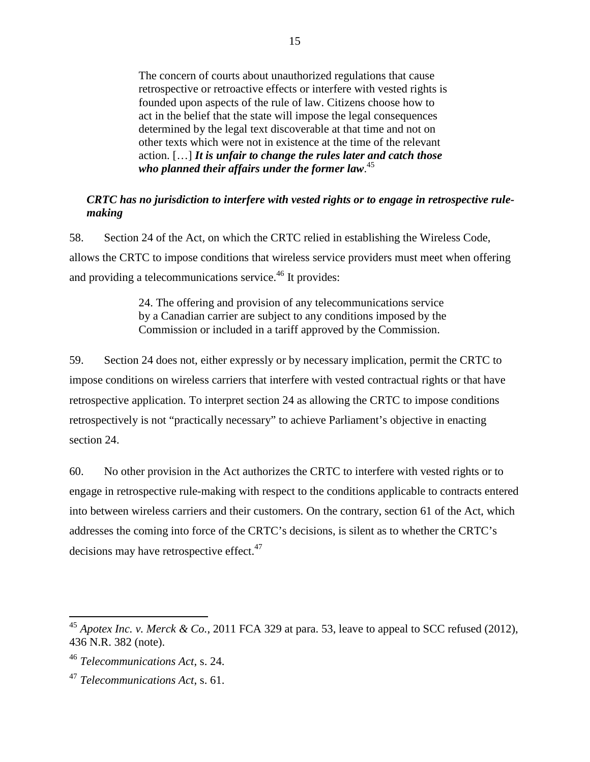The concern of courts about unauthorized regulations that cause retrospective or retroactive effects or interfere with vested rights is founded upon aspects of the rule of law. Citizens choose how to act in the belief that the state will impose the legal consequences determined by the legal text discoverable at that time and not on other texts which were not in existence at the time of the relevant action. […] *It is unfair to change the rules later and catch those who planned their affairs under the former law*. 45

### *CRTC has no jurisdiction to interfere with vested rights or to engage in retrospective rulemaking*

58. Section 24 of the Act, on which the CRTC relied in establishing the Wireless Code, allows the CRTC to impose conditions that wireless service providers must meet when offering and providing a telecommunications service.<sup>46</sup> It provides:

> 24. The offering and provision of any telecommunications service by a Canadian carrier are subject to any conditions imposed by the Commission or included in a tariff approved by the Commission.

59. Section 24 does not, either expressly or by necessary implication, permit the CRTC to impose conditions on wireless carriers that interfere with vested contractual rights or that have retrospective application. To interpret section 24 as allowing the CRTC to impose conditions retrospectively is not "practically necessary" to achieve Parliament's objective in enacting section 24.

60. No other provision in the Act authorizes the CRTC to interfere with vested rights or to engage in retrospective rule-making with respect to the conditions applicable to contracts entered into between wireless carriers and their customers. On the contrary, section 61 of the Act, which addresses the coming into force of the CRTC's decisions, is silent as to whether the CRTC's decisions may have retrospective effect.<sup>47</sup>

<sup>45</sup> *Apotex Inc. v. Merck & Co.*, 2011 FCA 329 at para. 53, leave to appeal to SCC refused (2012), 436 N.R. 382 (note).

<sup>46</sup> *Telecommunications Act*, s. 24.

<sup>47</sup> *Telecommunications Act*, s. 61.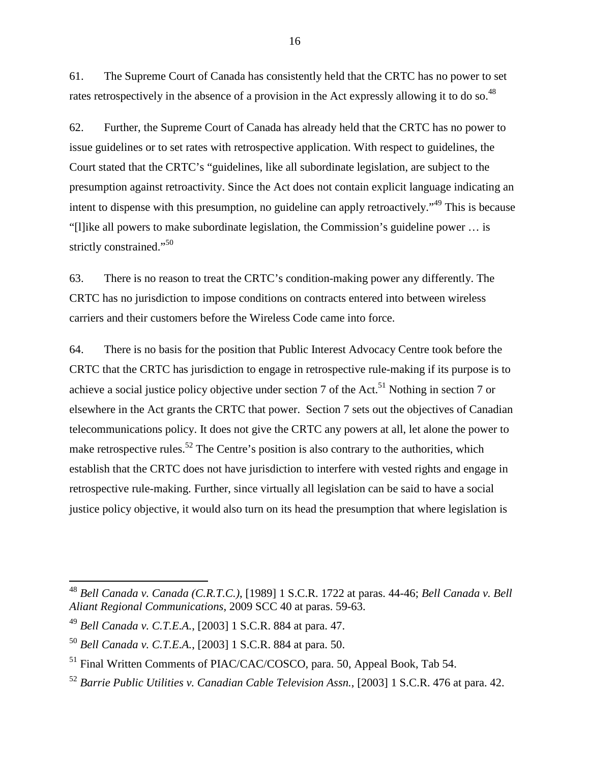61. The Supreme Court of Canada has consistently held that the CRTC has no power to set rates retrospectively in the absence of a provision in the Act expressly allowing it to do so.<sup>48</sup>

62. Further, the Supreme Court of Canada has already held that the CRTC has no power to issue guidelines or to set rates with retrospective application. With respect to guidelines, the Court stated that the CRTC's "guidelines, like all subordinate legislation, are subject to the presumption against retroactivity. Since the Act does not contain explicit language indicating an intent to dispense with this presumption, no guideline can apply retroactively."<sup>49</sup> This is because "[l]ike all powers to make subordinate legislation, the Commission's guideline power … is strictly constrained."<sup>50</sup>

63. There is no reason to treat the CRTC's condition-making power any differently. The CRTC has no jurisdiction to impose conditions on contracts entered into between wireless carriers and their customers before the Wireless Code came into force.

64. There is no basis for the position that Public Interest Advocacy Centre took before the CRTC that the CRTC has jurisdiction to engage in retrospective rule-making if its purpose is to achieve a social justice policy objective under section 7 of the Act.<sup>51</sup> Nothing in section 7 or elsewhere in the Act grants the CRTC that power. Section 7 sets out the objectives of Canadian telecommunications policy. It does not give the CRTC any powers at all, let alone the power to make retrospective rules.<sup>52</sup> The Centre's position is also contrary to the authorities, which establish that the CRTC does not have jurisdiction to interfere with vested rights and engage in retrospective rule-making. Further, since virtually all legislation can be said to have a social justice policy objective, it would also turn on its head the presumption that where legislation is

<sup>48</sup> *Bell Canada v. Canada (C.R.T.C.)*, [1989] 1 S.C.R. 1722 at paras. 44-46; *Bell Canada v. Bell Aliant Regional Communications*, 2009 SCC 40 at paras. 59-63.

<sup>49</sup> *Bell Canada v. C.T.E.A.*, [2003] 1 S.C.R. 884 at para. 47.

<sup>50</sup> *Bell Canada v. C.T.E.A.*, [2003] 1 S.C.R. 884 at para. 50.

<sup>&</sup>lt;sup>51</sup> Final Written Comments of PIAC/CAC/COSCO, para. 50, Appeal Book, Tab 54.

<sup>52</sup> *Barrie Public Utilities v. Canadian Cable Television Assn.*, [2003] 1 S.C.R. 476 at para. 42.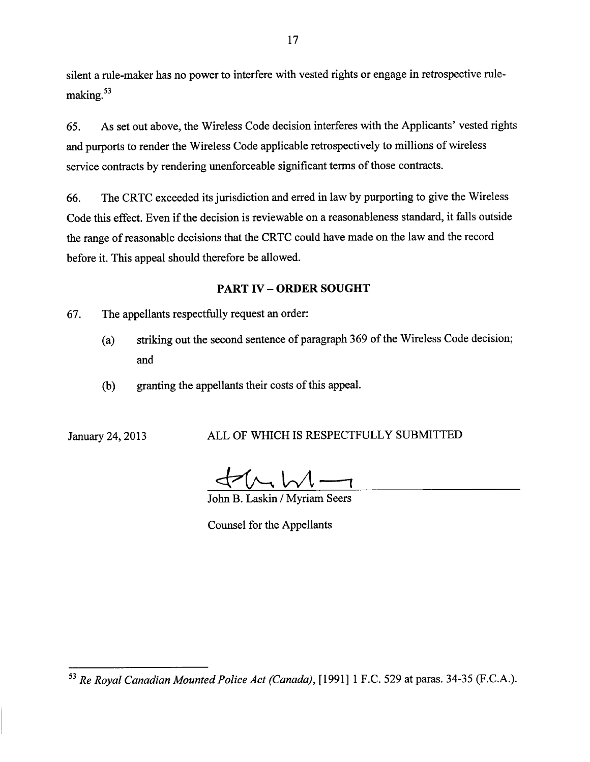silent a rule-maker has no power to interfere with vested rights or engage in retrospective rulemaking.<sup>53</sup>

As set out above, the Wireless Code decision interferes with the Applicants' vested rights 65. and purports to render the Wireless Code applicable retrospectively to millions of wireless service contracts by rendering unenforceable significant terms of those contracts.

The CRTC exceeded its jurisdiction and erred in law by purporting to give the Wireless 66. Code this effect. Even if the decision is reviewable on a reasonableness standard, it falls outside the range of reasonable decisions that the CRTC could have made on the law and the record before it. This appeal should therefore be allowed.

## **PART IV - ORDER SOUGHT**

67. The appellants respectfully request an order:

- striking out the second sentence of paragraph 369 of the Wireless Code decision;  $(a)$ and
- granting the appellants their costs of this appeal.  $(b)$

January 24, 2013

## ALL OF WHICH IS RESPECTFULLY SUBMITTED

 $(t\sqrt{t\sqrt{t-1}})$ 

John B. Laskin / Myriam Seers

Counsel for the Appellants

<sup>&</sup>lt;sup>53</sup> Re Royal Canadian Mounted Police Act (Canada), [1991] 1 F.C. 529 at paras. 34-35 (F.C.A.).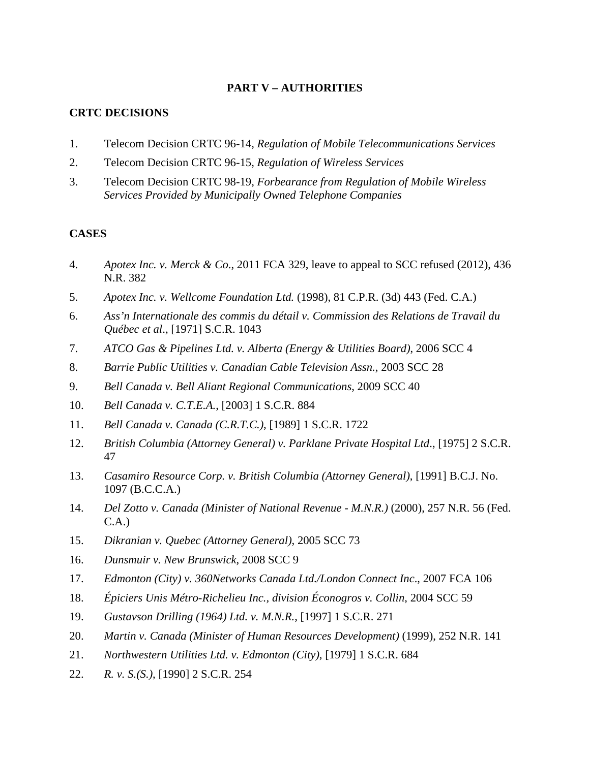## **PART V – AUTHORITIES**

## **CRTC DECISIONS**

- 1. Telecom Decision CRTC 96-14, *Regulation of Mobile Telecommunications Services*
- 2. Telecom Decision CRTC 96-15, *Regulation of Wireless Services*
- 3. Telecom Decision CRTC 98-19, *Forbearance from Regulation of Mobile Wireless Services Provided by Municipally Owned Telephone Companies*

## **CASES**

- 4. *Apotex Inc. v. Merck & Co*., 2011 FCA 329, leave to appeal to SCC refused (2012), 436 N.R. 382
- 5. *Apotex Inc. v. Wellcome Foundation Ltd.* (1998), 81 C.P.R. (3d) 443 (Fed. C.A.)
- 6. *Ass'n Internationale des commis du détail v. Commission des Relations de Travail du Québec et al*., [1971] S.C.R. 1043
- 7. *ATCO Gas & Pipelines Ltd. v. Alberta (Energy & Utilities Board)*, 2006 SCC 4
- 8. *Barrie Public Utilities v. Canadian Cable Television Assn.*, 2003 SCC 28
- 9. *Bell Canada v. Bell Aliant Regional Communications*, 2009 SCC 40
- 10. *Bell Canada v. C.T.E.A.*, [2003] 1 S.C.R. 884
- 11. *Bell Canada v. Canada (C.R.T.C.)*, [1989] 1 S.C.R. 1722
- 12. *British Columbia (Attorney General) v. Parklane Private Hospital Ltd*., [1975] 2 S.C.R. 47
- 13. *Casamiro Resource Corp. v. British Columbia (Attorney General)*, [1991] B.C.J. No. 1097 (B.C.C.A.)
- 14. *Del Zotto v. Canada (Minister of National Revenue M.N.R.)* (2000), 257 N.R. 56 (Fed. C.A.)
- 15. *Dikranian v. Quebec (Attorney General)*, 2005 SCC 73
- 16. *Dunsmuir v. New Brunswick*, 2008 SCC 9
- 17. *Edmonton (City) v. 360Networks Canada Ltd./London Connect Inc*., 2007 FCA 106
- 18. *Épiciers Unis Métro-Richelieu Inc., division Éconogros v. Collin*, 2004 SCC 59
- 19. *Gustavson Drilling (1964) Ltd. v. M.N.R.*, [1997] 1 S.C.R. 271
- 20. *Martin v. Canada (Minister of Human Resources Development)* (1999), 252 N.R. 141
- 21. *Northwestern Utilities Ltd. v. Edmonton (City)*, [1979] 1 S.C.R. 684
- 22. *R. v. S.(S.)*, [1990] 2 S.C.R. 254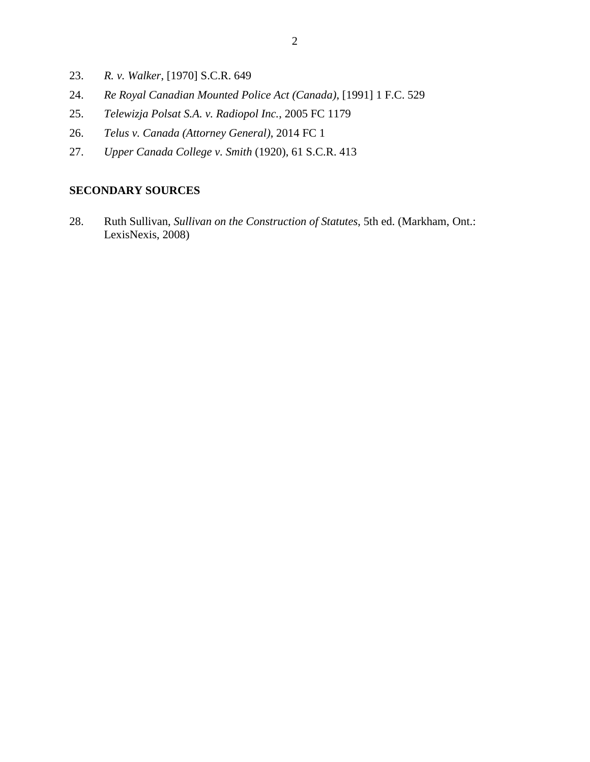- 23. *R. v. Walker*, [1970] S.C.R. 649
- 24. *Re Royal Canadian Mounted Police Act (Canada)*, [1991] 1 F.C. 529
- 25. *Telewizja Polsat S.A. v. Radiopol Inc.*, 2005 FC 1179
- 26. *Telus v. Canada (Attorney General)*, 2014 FC 1
- 27. *Upper Canada College v. Smith* (1920), 61 S.C.R. 413

## **SECONDARY SOURCES**

28. Ruth Sullivan, *Sullivan on the Construction of Statutes*, 5th ed. (Markham, Ont.: LexisNexis, 2008)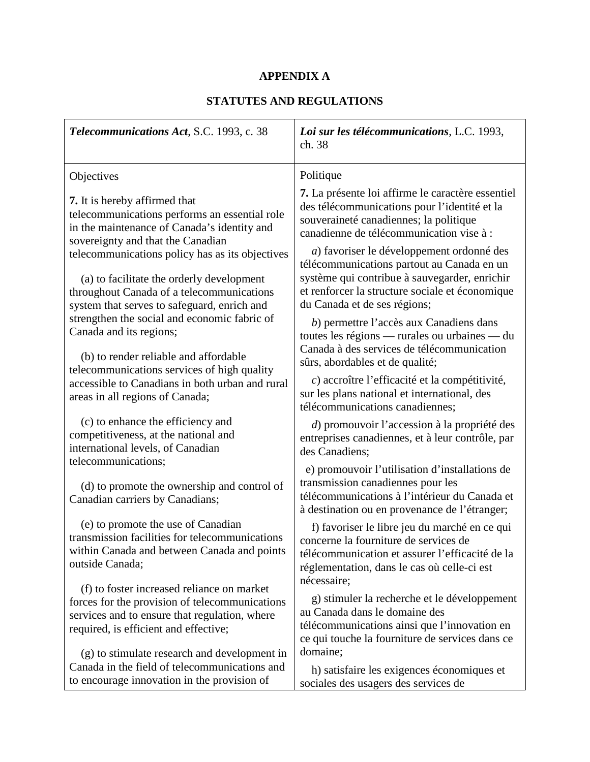# **APPENDIX A**

# **STATUTES AND REGULATIONS**

| Telecommunications Act, S.C. 1993, c. 38                                                                                                                                                 | Loi sur les télécommunications, L.C. 1993,<br>ch. 38                                                                                                                                                                        |
|------------------------------------------------------------------------------------------------------------------------------------------------------------------------------------------|-----------------------------------------------------------------------------------------------------------------------------------------------------------------------------------------------------------------------------|
| Objectives                                                                                                                                                                               | Politique                                                                                                                                                                                                                   |
| <b>7.</b> It is hereby affirmed that<br>telecommunications performs an essential role<br>in the maintenance of Canada's identity and<br>sovereignty and that the Canadian                | 7. La présente loi affirme le caractère essentiel<br>des télécommunications pour l'identité et la<br>souveraineté canadiennes; la politique<br>canadienne de télécommunication vise à :                                     |
| telecommunications policy has as its objectives<br>(a) to facilitate the orderly development<br>throughout Canada of a telecommunications<br>system that serves to safeguard, enrich and | a) favoriser le développement ordonné des<br>télécommunications partout au Canada en un<br>système qui contribue à sauvegarder, enrichir<br>et renforcer la structure sociale et économique<br>du Canada et de ses régions; |
| strengthen the social and economic fabric of<br>Canada and its regions;<br>(b) to render reliable and affordable                                                                         | b) permettre l'accès aux Canadiens dans<br>toutes les régions — rurales ou urbaines — du<br>Canada à des services de télécommunication                                                                                      |
| telecommunications services of high quality<br>accessible to Canadians in both urban and rural<br>areas in all regions of Canada;                                                        | sûrs, abordables et de qualité;<br>c) accroître l'efficacité et la compétitivité,<br>sur les plans national et international, des<br>télécommunications canadiennes;                                                        |
| (c) to enhance the efficiency and<br>competitiveness, at the national and<br>international levels, of Canadian<br>telecommunications;                                                    | d) promouvoir l'accession à la propriété des<br>entreprises canadiennes, et à leur contrôle, par<br>des Canadiens;                                                                                                          |
| (d) to promote the ownership and control of<br>Canadian carriers by Canadians;                                                                                                           | e) promouvoir l'utilisation d'installations de<br>transmission canadiennes pour les<br>télécommunications à l'intérieur du Canada et<br>à destination ou en provenance de l'étranger;                                       |
| (e) to promote the use of Canadian<br>transmission facilities for telecommunications<br>within Canada and between Canada and points<br>outside Canada;                                   | f) favoriser le libre jeu du marché en ce qui<br>concerne la fourniture de services de<br>télécommunication et assurer l'efficacité de la<br>réglementation, dans le cas où celle-ci est<br>nécessaire;                     |
| (f) to foster increased reliance on market<br>forces for the provision of telecommunications<br>services and to ensure that regulation, where<br>required, is efficient and effective;   | g) stimuler la recherche et le développement<br>au Canada dans le domaine des<br>télécommunications ainsi que l'innovation en<br>ce qui touche la fourniture de services dans ce                                            |
| (g) to stimulate research and development in<br>Canada in the field of telecommunications and<br>to encourage innovation in the provision of                                             | domaine;<br>h) satisfaire les exigences économiques et<br>sociales des usagers des services de                                                                                                                              |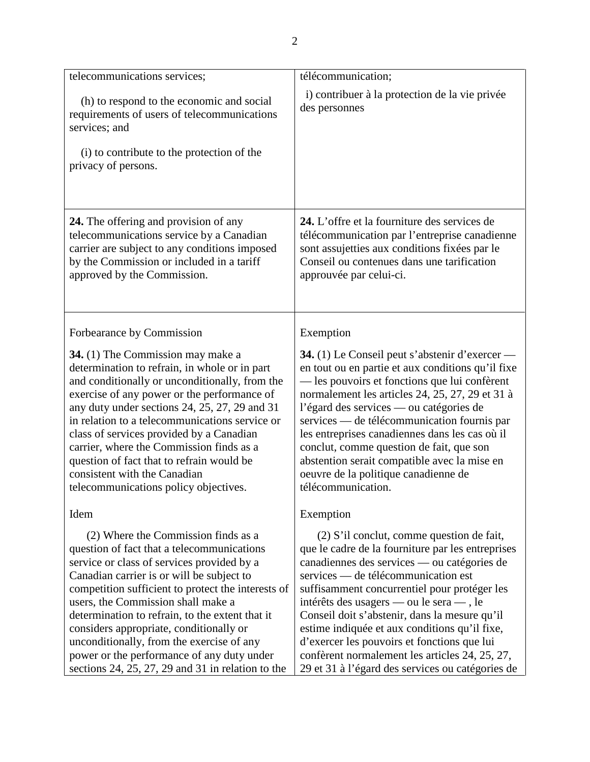| telecommunications services;                                                                                                                                                                                                                                                                                                                                                                                                                                                                                           | télécommunication;                                                                                                                                                                                                                                                                                                                                                                                                                                                                                                                       |
|------------------------------------------------------------------------------------------------------------------------------------------------------------------------------------------------------------------------------------------------------------------------------------------------------------------------------------------------------------------------------------------------------------------------------------------------------------------------------------------------------------------------|------------------------------------------------------------------------------------------------------------------------------------------------------------------------------------------------------------------------------------------------------------------------------------------------------------------------------------------------------------------------------------------------------------------------------------------------------------------------------------------------------------------------------------------|
| (h) to respond to the economic and social<br>requirements of users of telecommunications<br>services; and<br>(i) to contribute to the protection of the<br>privacy of persons.                                                                                                                                                                                                                                                                                                                                         | i) contribuer à la protection de la vie privée<br>des personnes                                                                                                                                                                                                                                                                                                                                                                                                                                                                          |
| 24. The offering and provision of any<br>telecommunications service by a Canadian<br>carrier are subject to any conditions imposed<br>by the Commission or included in a tariff<br>approved by the Commission.                                                                                                                                                                                                                                                                                                         | 24. L'offre et la fourniture des services de<br>télécommunication par l'entreprise canadienne<br>sont assujetties aux conditions fixées par le<br>Conseil ou contenues dans une tarification<br>approuvée par celui-ci.                                                                                                                                                                                                                                                                                                                  |
| Forbearance by Commission                                                                                                                                                                                                                                                                                                                                                                                                                                                                                              | Exemption                                                                                                                                                                                                                                                                                                                                                                                                                                                                                                                                |
| <b>34.</b> (1) The Commission may make a<br>determination to refrain, in whole or in part<br>and conditionally or unconditionally, from the<br>exercise of any power or the performance of<br>any duty under sections 24, 25, 27, 29 and 31<br>in relation to a telecommunications service or<br>class of services provided by a Canadian<br>carrier, where the Commission finds as a<br>question of fact that to refrain would be<br>consistent with the Canadian<br>telecommunications policy objectives.            | <b>34.</b> (1) Le Conseil peut s'abstenir d'exercer —<br>en tout ou en partie et aux conditions qu'il fixe<br>— les pouvoirs et fonctions que lui confèrent<br>normalement les articles 24, 25, 27, 29 et 31 à<br>l'égard des services — ou catégories de<br>services — de télécommunication fournis par<br>les entreprises canadiennes dans les cas où il<br>conclut, comme question de fait, que son<br>abstention serait compatible avec la mise en<br>oeuvre de la politique canadienne de<br>télécommunication.                     |
| Idem                                                                                                                                                                                                                                                                                                                                                                                                                                                                                                                   | Exemption                                                                                                                                                                                                                                                                                                                                                                                                                                                                                                                                |
| (2) Where the Commission finds as a<br>question of fact that a telecommunications<br>service or class of services provided by a<br>Canadian carrier is or will be subject to<br>competition sufficient to protect the interests of<br>users, the Commission shall make a<br>determination to refrain, to the extent that it<br>considers appropriate, conditionally or<br>unconditionally, from the exercise of any<br>power or the performance of any duty under<br>sections 24, 25, 27, 29 and 31 in relation to the | $(2)$ S'il conclut, comme question de fait,<br>que le cadre de la fourniture par les entreprises<br>canadiennes des services — ou catégories de<br>services — de télécommunication est<br>suffisamment concurrentiel pour protéger les<br>intérêts des usagers — ou le sera —, le<br>Conseil doit s'abstenir, dans la mesure qu'il<br>estime indiquée et aux conditions qu'il fixe,<br>d'exercer les pouvoirs et fonctions que lui<br>confèrent normalement les articles 24, 25, 27,<br>29 et 31 à l'égard des services ou catégories de |